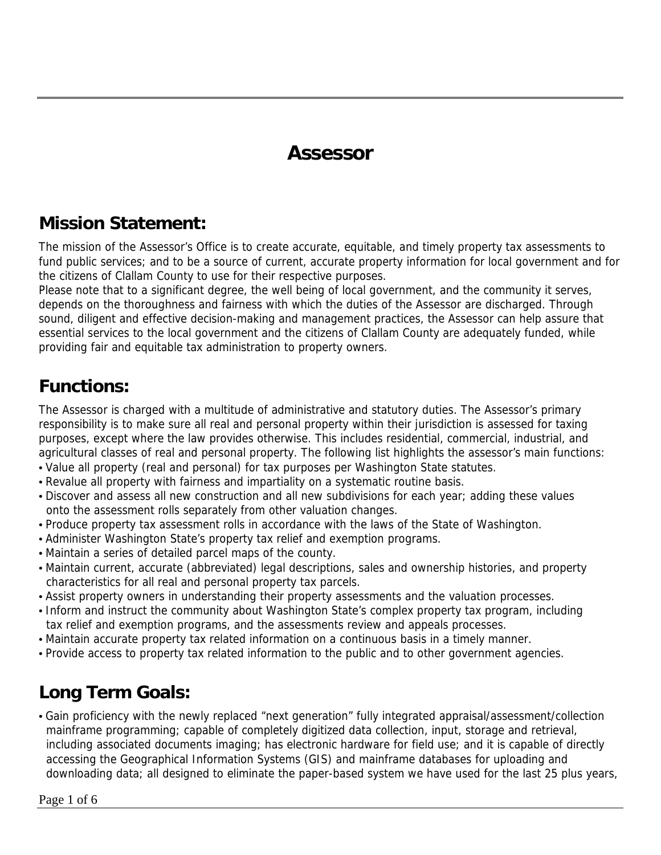## **Assessor**

#### **Mission Statement:**

The mission of the Assessor's Office is to create accurate, equitable, and timely property tax assessments to fund public services; and to be a source of current, accurate property information for local government and for the citizens of Clallam County to use for their respective purposes.

Please note that to a significant degree, the well being of local government, and the community it serves, depends on the thoroughness and fairness with which the duties of the Assessor are discharged. Through sound, diligent and effective decision-making and management practices, the Assessor can help assure that essential services to the local government and the citizens of Clallam County are adequately funded, while providing fair and equitable tax administration to property owners.

#### **Functions:**

The Assessor is charged with a multitude of administrative and statutory duties. The Assessor's primary responsibility is to make sure all real and personal property within their jurisdiction is assessed for taxing purposes, except where the law provides otherwise. This includes residential, commercial, industrial, and agricultural classes of real and personal property. The following list highlights the assessor's main functions:

- Value all property (real and personal) for tax purposes per Washington State statutes.
- Revalue all property with fairness and impartiality on a systematic routine basis.
- Discover and assess all new construction and all new subdivisions for each year; adding these values onto the assessment rolls separately from other valuation changes.
- Produce property tax assessment rolls in accordance with the laws of the State of Washington.
- Administer Washington State's property tax relief and exemption programs.
- Maintain a series of detailed parcel maps of the county.
- Maintain current, accurate (abbreviated) legal descriptions, sales and ownership histories, and property characteristics for all real and personal property tax parcels.
- Assist property owners in understanding their property assessments and the valuation processes.
- Inform and instruct the community about Washington State's complex property tax program, including tax relief and exemption programs, and the assessments review and appeals processes.
- Maintain accurate property tax related information on a continuous basis in a timely manner.
- Provide access to property tax related information to the public and to other government agencies.

### **Long Term Goals:**

• Gain proficiency with the newly replaced "next generation" fully integrated appraisal/assessment/collection mainframe programming; capable of completely digitized data collection, input, storage and retrieval, including associated documents imaging; has electronic hardware for field use; and it is capable of directly accessing the Geographical Information Systems (GIS) and mainframe databases for uploading and downloading data; all designed to eliminate the paper-based system we have used for the last 25 plus years,

Page 1 of 6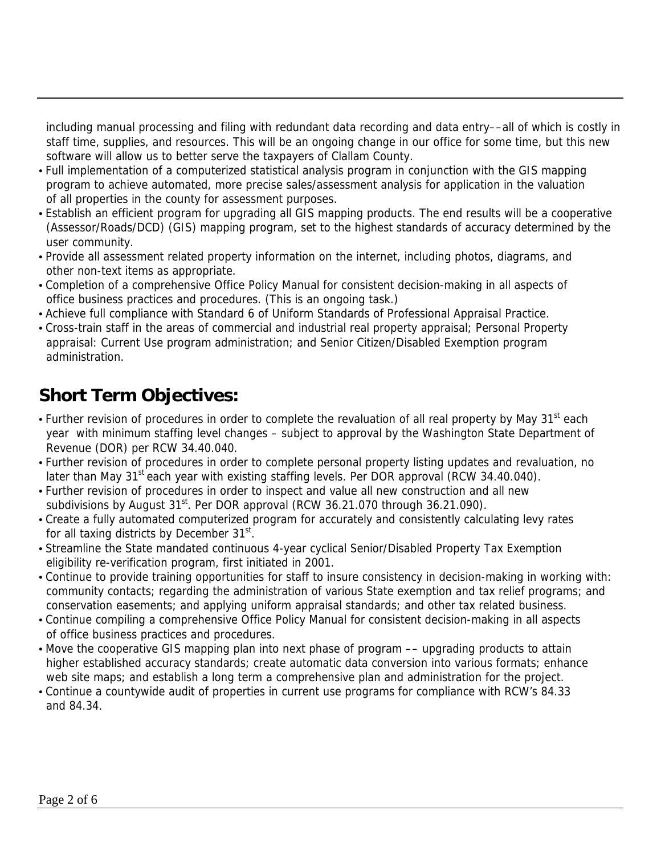including manual processing and filing with redundant data recording and data entry––all of which is costly in staff time, supplies, and resources. This will be an ongoing change in our office for some time, but this new software will allow us to better serve the taxpayers of Clallam County.

- Full implementation of a computerized statistical analysis program in conjunction with the GIS mapping program to achieve automated, more precise sales/assessment analysis for application in the valuation of all properties in the county for assessment purposes.
- Establish an efficient program for upgrading all GIS mapping products. The end results will be a cooperative (Assessor/Roads/DCD) (GIS) mapping program, set to the highest standards of accuracy determined by the user community.
- Provide all assessment related property information on the internet, including photos, diagrams, and other non-text items as appropriate.
- Completion of a comprehensive Office Policy Manual for consistent decision-making in all aspects of office business practices and procedures. (This is an ongoing task.)
- Achieve full compliance with Standard 6 of Uniform Standards of Professional Appraisal Practice.
- Cross-train staff in the areas of commercial and industrial real property appraisal; Personal Property appraisal: Current Use program administration; and Senior Citizen/Disabled Exemption program administration.

## **Short Term Objectives:**

- Further revision of procedures in order to complete the revaluation of all real property by May 31<sup>st</sup> each year with minimum staffing level changes – subject to approval by the Washington State Department of Revenue (DOR) per RCW 34.40.040.
- Further revision of procedures in order to complete personal property listing updates and revaluation, no later than May  $31<sup>st</sup>$  each year with existing staffing levels. Per DOR approval (RCW 34.40.040).
- Further revision of procedures in order to inspect and value all new construction and all new subdivisions by August  $31^{st}$ . Per DOR approval (RCW 36.21.070 through 36.21.090).
- Create a fully automated computerized program for accurately and consistently calculating levy rates for all taxing districts by December 31<sup>st</sup>.
- Streamline the State mandated continuous 4-year cyclical Senior/Disabled Property Tax Exemption eligibility re-verification program, first initiated in 2001.
- Continue to provide training opportunities for staff to insure consistency in decision-making in working with: community contacts; regarding the administration of various State exemption and tax relief programs; and conservation easements; and applying uniform appraisal standards; and other tax related business.
- Continue compiling a comprehensive Office Policy Manual for consistent decision-making in all aspects of office business practices and procedures.
- Move the cooperative GIS mapping plan into next phase of program  $-$  upgrading products to attain higher established accuracy standards; create automatic data conversion into various formats; enhance web site maps; and establish a long term a comprehensive plan and administration for the project.
- Continue a countywide audit of properties in current use programs for compliance with RCW's 84.33 and 84.34.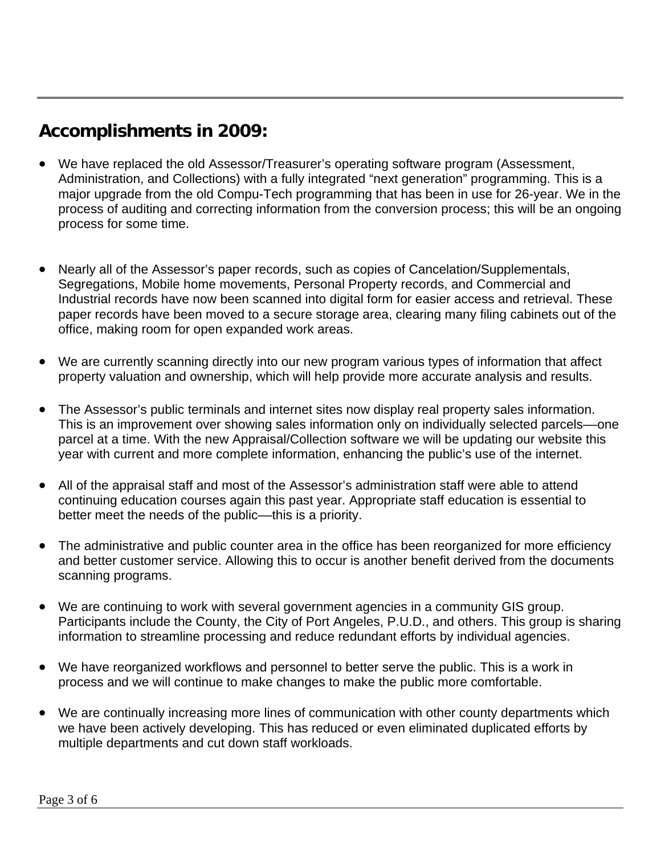#### **Accomplishments in 2009:**

- We have replaced the old Assessor/Treasurer's operating software program (Assessment, Administration, and Collections) with a fully integrated "next generation" programming. This is a major upgrade from the old Compu-Tech programming that has been in use for 26-year. We in the process of auditing and correcting information from the conversion process; this will be an ongoing process for some time.
- Nearly all of the Assessor's paper records, such as copies of Cancelation/Supplementals, Segregations, Mobile home movements, Personal Property records, and Commercial and Industrial records have now been scanned into digital form for easier access and retrieval. These paper records have been moved to a secure storage area, clearing many filing cabinets out of the office, making room for open expanded work areas.
- We are currently scanning directly into our new program various types of information that affect property valuation and ownership, which will help provide more accurate analysis and results.
- The Assessor's public terminals and internet sites now display real property sales information. This is an improvement over showing sales information only on individually selected parcels––one parcel at a time. With the new Appraisal/Collection software we will be updating our website this year with current and more complete information, enhancing the public's use of the internet.
- All of the appraisal staff and most of the Assessor's administration staff were able to attend continuing education courses again this past year. Appropriate staff education is essential to better meet the needs of the public––this is a priority.
- The administrative and public counter area in the office has been reorganized for more efficiency and better customer service. Allowing this to occur is another benefit derived from the documents scanning programs.
- We are continuing to work with several government agencies in a community GIS group. Participants include the County, the City of Port Angeles, P.U.D., and others. This group is sharing information to streamline processing and reduce redundant efforts by individual agencies.
- We have reorganized workflows and personnel to better serve the public. This is a work in process and we will continue to make changes to make the public more comfortable.
- We are continually increasing more lines of communication with other county departments which we have been actively developing. This has reduced or even eliminated duplicated efforts by multiple departments and cut down staff workloads.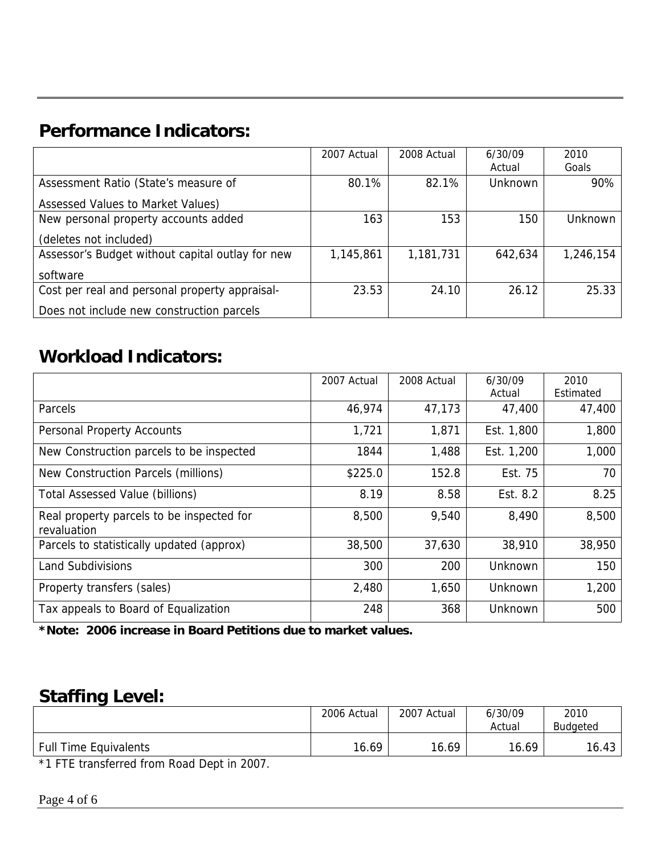## **Performance Indicators:**

|                                                  | 2007 Actual | 2008 Actual | 6/30/09        | 2010      |
|--------------------------------------------------|-------------|-------------|----------------|-----------|
|                                                  |             |             | Actual         | Goals     |
| Assessment Ratio (State's measure of             | 80.1%       | 82.1%       | <b>Unknown</b> | 90%       |
| Assessed Values to Market Values)                |             |             |                |           |
| New personal property accounts added             | 163         | 153         | 150            | Unknown   |
| (deletes not included)                           |             |             |                |           |
| Assessor's Budget without capital outlay for new | 1,145,861   | 1,181,731   | 642,634        | 1,246,154 |
| software                                         |             |             |                |           |
| Cost per real and personal property appraisal-   | 23.53       | 24.10       | 26.12          | 25.33     |
| Does not include new construction parcels        |             |             |                |           |

#### **Workload Indicators:**

|                                                          | 2007 Actual | 2008 Actual | 6/30/09<br>Actual | 2010<br>Estimated |
|----------------------------------------------------------|-------------|-------------|-------------------|-------------------|
| Parcels                                                  | 46,974      | 47,173      | 47,400            | 47,400            |
| <b>Personal Property Accounts</b>                        | 1,721       | 1,871       | Est. 1,800        | 1,800             |
| New Construction parcels to be inspected                 | 1844        | 1,488       | Est. 1,200        | 1,000             |
| New Construction Parcels (millions)                      | \$225.0     | 152.8       | Est. 75           | 70                |
| <b>Total Assessed Value (billions)</b>                   | 8.19        | 8.58        | Est. 8.2          | 8.25              |
| Real property parcels to be inspected for<br>revaluation | 8,500       | 9,540       | 8,490             | 8,500             |
| Parcels to statistically updated (approx)                | 38,500      | 37,630      | 38,910            | 38,950            |
| <b>Land Subdivisions</b>                                 | 300         | 200         | Unknown           | 150               |
| Property transfers (sales)                               | 2,480       | 1,650       | <b>Unknown</b>    | 1,200             |
| Tax appeals to Board of Equalization                     | 248         | 368         | Unknown           | 500               |

**\*Note: 2006 increase in Board Petitions due to market values.** 

#### **Staffing Level:**

|                              |       |       | Actual | Budgeted |
|------------------------------|-------|-------|--------|----------|
| <b>Full Time Equivalents</b> | 16.69 | 16.69 | 16.69  | 16.43    |

\*1 FTE transferred from Road Dept in 2007.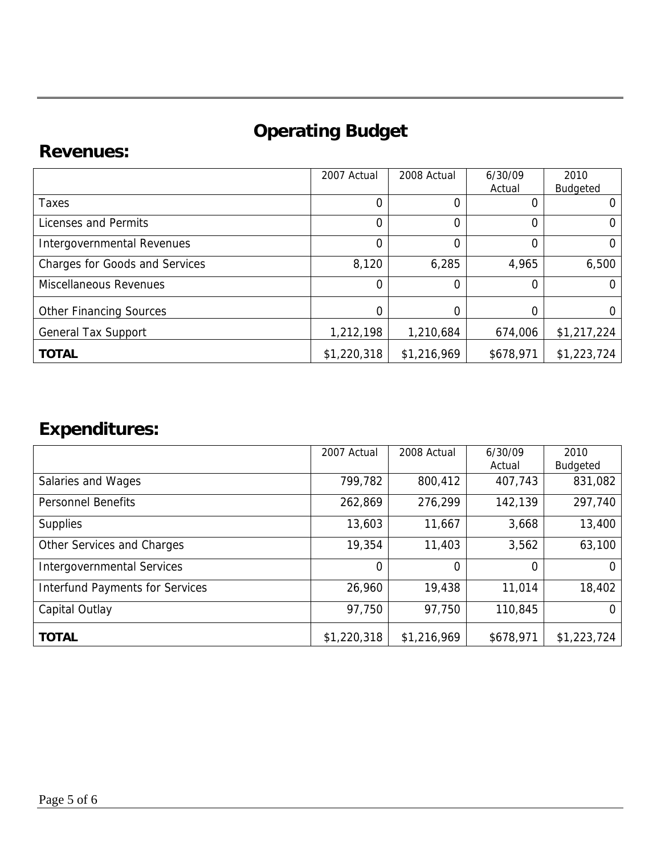# **Operating Budget**

#### **Revenues:**

|                                       | 2007 Actual    | 2008 Actual | 6/30/09   | 2010        |
|---------------------------------------|----------------|-------------|-----------|-------------|
|                                       |                |             | Actual    | Budgeted    |
| Taxes                                 | $\Omega$       | 0           |           |             |
| Licenses and Permits                  | $\Omega$       | 0           | 0         | O           |
| Intergovernmental Revenues            | $\overline{0}$ | $\Omega$    | 0         |             |
| <b>Charges for Goods and Services</b> | 8,120          | 6,285       | 4,965     | 6,500       |
| <b>Miscellaneous Revenues</b>         | $\overline{0}$ | 0           | 0         | 0           |
| <b>Other Financing Sources</b>        | 0              | 0           | 0         |             |
| <b>General Tax Support</b>            | 1,212,198      | 1,210,684   | 674,006   | \$1,217,224 |
| <b>TOTAL</b>                          | \$1,220,318    | \$1,216,969 | \$678,971 | \$1,223,724 |

# **Expenditures:**

|                                        | 2007 Actual    | 2008 Actual | 6/30/09   | 2010            |
|----------------------------------------|----------------|-------------|-----------|-----------------|
|                                        |                |             | Actual    | <b>Budgeted</b> |
| Salaries and Wages                     | 799,782        | 800,412     | 407,743   | 831,082         |
| <b>Personnel Benefits</b>              | 262,869        | 276,299     | 142,139   | 297,740         |
| <b>Supplies</b>                        | 13,603         | 11,667      | 3,668     | 13,400          |
| Other Services and Charges             | 19,354         | 11,403      | 3,562     | 63,100          |
| <b>Intergovernmental Services</b>      | $\overline{0}$ | 0           | 0         | 0               |
| <b>Interfund Payments for Services</b> | 26,960         | 19,438      | 11,014    | 18,402          |
| Capital Outlay                         | 97,750         | 97,750      | 110,845   | O               |
| <b>TOTAL</b>                           | \$1,220,318    | \$1,216,969 | \$678,971 | \$1,223,724     |